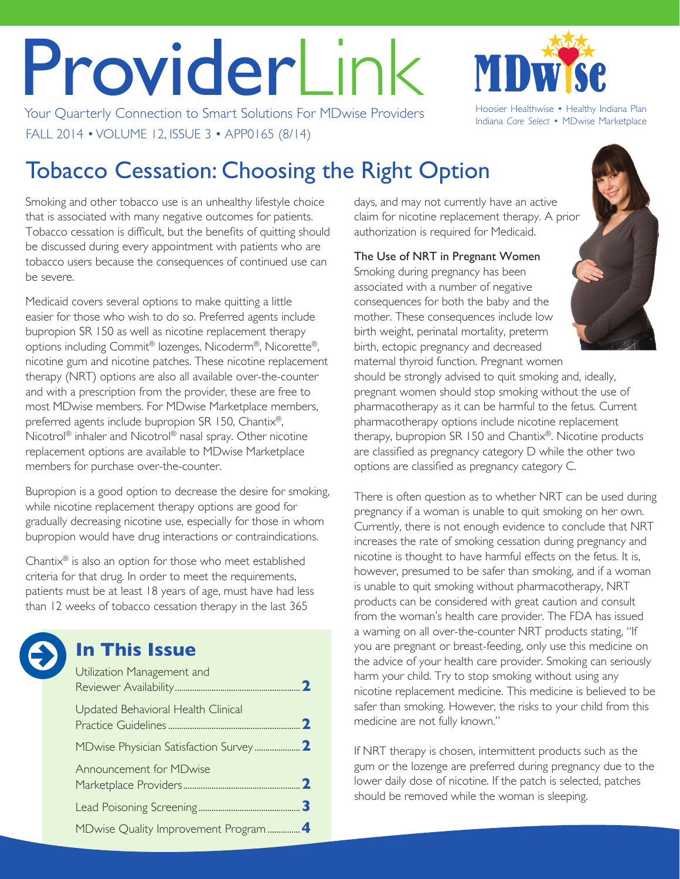# ProviderLink

Your Quarterly Connection to Smart Solutions For MDwise Providers Hoosier Healthwise • Healthy Indiana Plan FALL 2014 • VOLUME 12, ISSUE 3 • APP0165 (8/14)



Indiana *Care Select* • MDwise Marketplace

# Tobacco Cessation: Choosing the Right Option

Smoking and other tobacco use is an unhealthy lifestyle choice that is associated with many negative outcomes for patients. Tobacco cessation is difficult, but the benefits of quitting should be discussed during every appointment with patients who are tobacco users because the consequences of continued use can be severe.

Medicaid covers several options to make quitting a little easier for those who wish to do so. Preferred agents include bupropion SR 150 as well as nicotine replacement therapy options including Commit® lozenges, Nicoderm®, Nicorette®, nicotine gum and nicotine patches. These nicotine replacement therapy (NRT) options are also all available over-the-counter and with a prescription from the provider, these are free to most MDwise members. For MDwise Marketplace members, preferred agents include bupropion SR 150, Chantix®, Nicotrol® inhaler and Nicotrol® nasal spray. Other nicotine replacement options are available to MDwise Marketplace members for purchase over-the-counter.

Bupropion is a good option to decrease the desire for smoking, while nicotine replacement therapy options are good for gradually decreasing nicotine use, especially for those in whom bupropion would have drug interactions or contraindications.

Chantix® is also an option for those who meet established criteria for that drug. In order to meet the requirements, patients must be at least 18 years of age, must have had less than 12 weeks of tobacco cessation therapy in the last 365



# **In This Issue**

| Utilization Management and         |  |
|------------------------------------|--|
| Updated Behavioral Health Clinical |  |
|                                    |  |
| Announcement for MDwise            |  |
|                                    |  |
|                                    |  |

days, and may not currently have an active claim for nicotine replacement therapy. A prior authorization is required for Medicaid.

The Use of NRT in Pregnant Women Smoking during pregnancy has been associated with a number of negative consequences for both the baby and the mother. These consequences include low birth weight, perinatal mortality, preterm birth, ectopic pregnancy and decreased maternal thyroid function. Pregnant women



should be strongly advised to quit smoking and, ideally, pregnant women should stop smoking without the use of pharmacotherapy as it can be harmful to the fetus. Current pharmacotherapy options include nicotine replacement therapy, bupropion SR 150 and Chantix®. Nicotine products are classified as pregnancy category D while the other two options are classified as pregnancy category C.

There is often question as to whether NRT can be used during pregnancy if a woman is unable to quit smoking on her own. Currently, there is not enough evidence to conclude that NRT increases the rate of smoking cessation during pregnancy and nicotine is thought to have harmful effects on the fetus. It is, however, presumed to be safer than smoking, and if a woman is unable to quit smoking without pharmacotherapy, NRT products can be considered with great caution and consult from the woman's health care provider. The FDA has issued a warning on all over-the-counter NRT products stating, "If you are pregnant or breast-feeding, only use this medicine on the advice of your health care provider. Smoking can seriously harm your child. Try to stop smoking without using any nicotine replacement medicine. This medicine is believed to be safer than smoking. However, the risks to your child from this medicine are not fully known."

If NRT therapy is chosen, intermittent products such as the gum or the lozenge are preferred during pregnancy due to the lower daily dose of nicotine. If the patch is selected, patches should be removed while the woman is sleeping.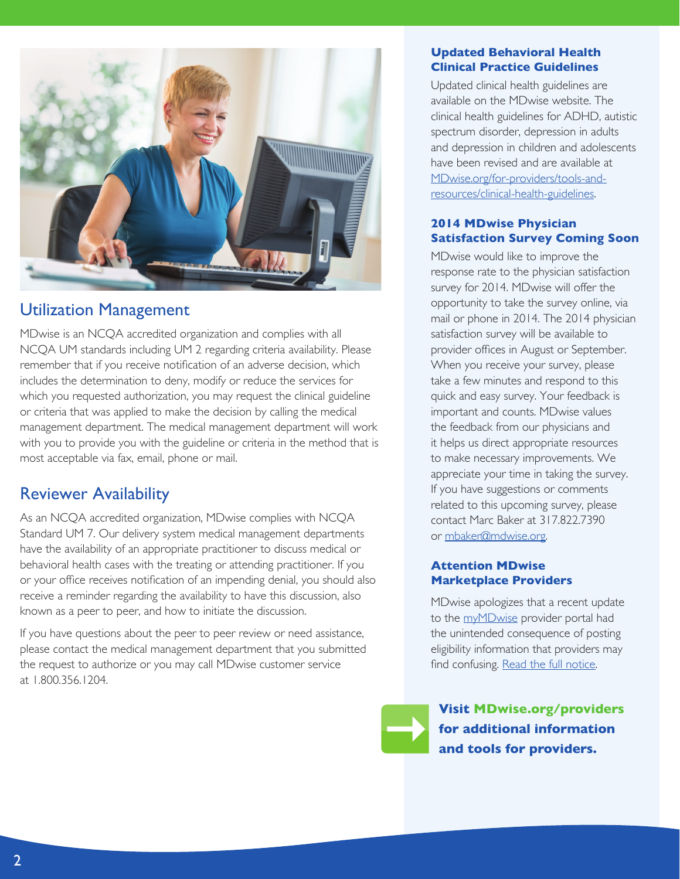<span id="page-1-0"></span>

# Utilization Management

MDwise is an NCQA accredited organization and complies with all NCQA UM standards including UM 2 regarding criteria availability. Please remember that if you receive notification of an adverse decision, which includes the determination to deny, modify or reduce the services for which you requested authorization, you may request the clinical guideline or criteria that was applied to make the decision by calling the medical management department. The medical management department will work with you to provide you with the guideline or criteria in the method that is most acceptable via fax, email, phone or mail.

# Reviewer Availability

As an NCQA accredited organization, MDwise complies with NCQA Standard UM 7. Our delivery system medical management departments have the availability of an appropriate practitioner to discuss medical or behavioral health cases with the treating or attending practitioner. If you or your office receives notification of an impending denial, you should also receive a reminder regarding the availability to have this discussion, also known as a peer to peer, and how to initiate the discussion.

If you have questions about the peer to peer review or need assistance, please contact the medical management department that you submitted the request to authorize or you may call MDwise customer service at 1.800.356.1204.

#### **Updated Behavioral Health Clinical Practice Guidelines**

Updated clinical health guidelines are available on the MDwise website. The clinical health guidelines for ADHD, autistic spectrum disorder, depression in adults and depression in children and adolescents have been revised and are available at [MDwise.org/for-providers/tools-and](http://www.mdwise.org/for-providers/tools-and-resources/clinical-health-guidelines/)[resources/clinical-health-guidelines](http://www.mdwise.org/for-providers/tools-and-resources/clinical-health-guidelines/).

## **2014 MDwise Physician Satisfaction Survey Coming Soon**

MDwise would like to improve the response rate to the physician satisfaction survey for 2014. MDwise will offer the opportunity to take the survey online, via mail or phone in 2014. The 2014 physician satisfaction survey will be available to provider offices in August or September. When you receive your survey, please take a few minutes and respond to this quick and easy survey. Your feedback is important and counts. MDwise values the feedback from our physicians and it helps us direct appropriate resources to make necessary improvements. We appreciate your time in taking the survey. If you have suggestions or comments related to this upcoming survey, please contact Marc Baker at 317.822.7390 or [mbaker@mdwise.org](mailto:mbaker%40mdwise.org?subject=).

#### **Attention MDwise Marketplace Providers**

MDwise apologizes that a recent update to the [myMDwise](http://www.mdwise.org/for-providers/mymdwise/) provider portal had the unintended consequence of posting eligibility information that providers may find confusing. [Read the full notice](http://www.mdwise.org/MediaLibraries/MDwise/Files/For%20Providers/Announcements/2014/Notice_Eligibility.pdf).

**Visit [MDwise.org/providers](http://MDwise.org/providers) for additional information and tools for providers.**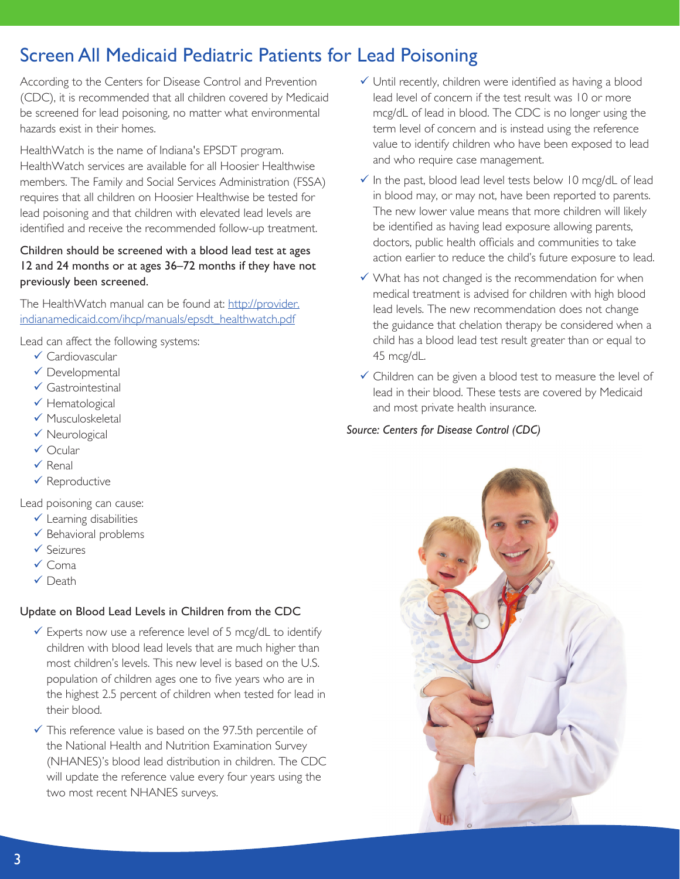# <span id="page-2-0"></span>Screen All Medicaid Pediatric Patients for Lead Poisoning

According to the Centers for Disease Control and Prevention (CDC), it is recommended that all children covered by Medicaid be screened for lead poisoning, no matter what environmental hazards exist in their homes.

HealthWatch is the name of Indiana's EPSDT program. HealthWatch services are available for all Hoosier Healthwise members. The Family and Social Services Administration (FSSA) requires that all children on Hoosier Healthwise be tested for lead poisoning and that children with elevated lead levels are identified and receive the recommended follow-up treatment.

## Children should be screened with a blood lead test at ages 12 and 24 months or at ages 36–72 months if they have not previously been screened.

The HealthWatch manual can be found at: [http://provider.](http://provider.indianamedicaid.com/ihcp/manuals/epsdt_healthwatch.pdf) [indianamedicaid.com/ihcp/manuals/epsdt\\_healthwatch.pdf](http://provider.indianamedicaid.com/ihcp/manuals/epsdt_healthwatch.pdf)

Lead can affect the following systems:

- $\checkmark$  Cardiovascular
- $\checkmark$  Developmental
- $\checkmark$  Gastrointestinal
- $\checkmark$  Hematological
- $\checkmark$  Musculoskeletal
- $\checkmark$  Neurological
- $\checkmark$  Ocular
- $\checkmark$  Renal
- $\checkmark$  Reproductive

Lead poisoning can cause:

- $\checkmark$  Learning disabilities
- $\checkmark$  Behavioral problems
- $\checkmark$  Seizures
- $\checkmark$  Coma
- $\checkmark$  Death

# Update on Blood Lead Levels in Children from the CDC

- $\checkmark$  Experts now use a reference level of 5 mcg/dL to identify children with blood lead levels that are much higher than most children's levels. This new level is based on the U.S. population of children ages one to five years who are in the highest 2.5 percent of children when tested for lead in their blood.
- $\checkmark$  This reference value is based on the 97.5th percentile of the National Health and Nutrition Examination Survey (NHANES)'s blood lead distribution in children. The CDC will update the reference value every four years using the two most recent NHANES surveys.
- $\checkmark$  Until recently, children were identified as having a blood lead level of concern if the test result was 10 or more mcg/dL of lead in blood. The CDC is no longer using the term level of concern and is instead using the reference value to identify children who have been exposed to lead and who require case management.
- $\checkmark$  In the past, blood lead level tests below 10 mcg/dL of lead in blood may, or may not, have been reported to parents. The new lower value means that more children will likely be identified as having lead exposure allowing parents, doctors, public health officials and communities to take action earlier to reduce the child's future exposure to lead.
- $\checkmark$  What has not changed is the recommendation for when medical treatment is advised for children with high blood lead levels. The new recommendation does not change the guidance that chelation therapy be considered when a child has a blood lead test result greater than or equal to 45 mcg/dL.
- $\checkmark$  Children can be given a blood test to measure the level of lead in their blood. These tests are covered by Medicaid and most private health insurance.

## *Source: Centers for Disease Control (CDC)*

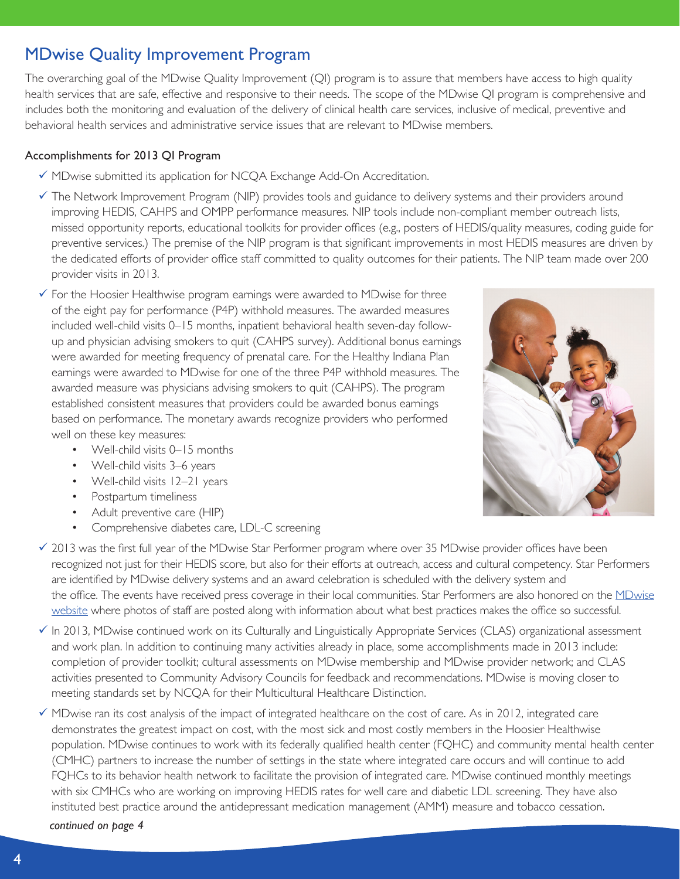# <span id="page-3-0"></span>MDwise Quality Improvement Program

The overarching goal of the MDwise Quality Improvement (QI) program is to assure that members have access to high quality health services that are safe, effective and responsive to their needs. The scope of the MDwise QI program is comprehensive and includes both the monitoring and evaluation of the delivery of clinical health care services, inclusive of medical, preventive and behavioral health services and administrative service issues that are relevant to MDwise members.

## Accomplishments for 2013 QI Program

- $\checkmark$  MDwise submitted its application for NCQA Exchange Add-On Accreditation.
- $\checkmark$  The Network Improvement Program (NIP) provides tools and guidance to delivery systems and their providers around improving HEDIS, CAHPS and OMPP performance measures. NIP tools include non-compliant member outreach lists, missed opportunity reports, educational toolkits for provider offices (e.g., posters of HEDIS/quality measures, coding guide for preventive services.) The premise of the NIP program is that significant improvements in most HEDIS measures are driven by the dedicated efforts of provider office staff committed to quality outcomes for their patients. The NIP team made over 200 provider visits in 2013.
- $\checkmark$  For the Hoosier Healthwise program earnings were awarded to MDwise for three of the eight pay for performance (P4P) withhold measures. The awarded measures included well-child visits 0–15 months, inpatient behavioral health seven-day followup and physician advising smokers to quit (CAHPS survey). Additional bonus earnings were awarded for meeting frequency of prenatal care. For the Healthy Indiana Plan earnings were awarded to MDwise for one of the three P4P withhold measures. The awarded measure was physicians advising smokers to quit (CAHPS). The program established consistent measures that providers could be awarded bonus earnings based on performance. The monetary awards recognize providers who performed well on these key measures:
	- Well-child visits 0–15 months
	- Well-child visits 3–6 years
	- Well-child visits 12-21 years
	- Postpartum timeliness
	- Adult preventive care (HIP)
	- Comprehensive diabetes care, LDL-C screening



- $\checkmark$  In 2013, MDwise continued work on its Culturally and Linguistically Appropriate Services (CLAS) organizational assessment and work plan. In addition to continuing many activities already in place, some accomplishments made in 2013 include: completion of provider toolkit; cultural assessments on MDwise membership and MDwise provider network; and CLAS activities presented to Community Advisory Councils for feedback and recommendations. MDwise is moving closer to meeting standards set by NCQA for their Multicultural Healthcare Distinction.
- $\checkmark$  MDwise ran its cost analysis of the impact of integrated healthcare on the cost of care. As in 2012, integrated care demonstrates the greatest impact on cost, with the most sick and most costly members in the Hoosier Healthwise population. MDwise continues to work with its federally qualified health center (FQHC) and community mental health center (CMHC) partners to increase the number of settings in the state where integrated care occurs and will continue to add FQHCs to its behavior health network to facilitate the provision of integrated care. MDwise continued monthly meetings with six CMHCs who are working on improving HEDIS rates for well care and diabetic LDL screening. They have also instituted best practice around the antidepressant medication management (AMM) measure and tobacco cessation.

*continued on page 4*